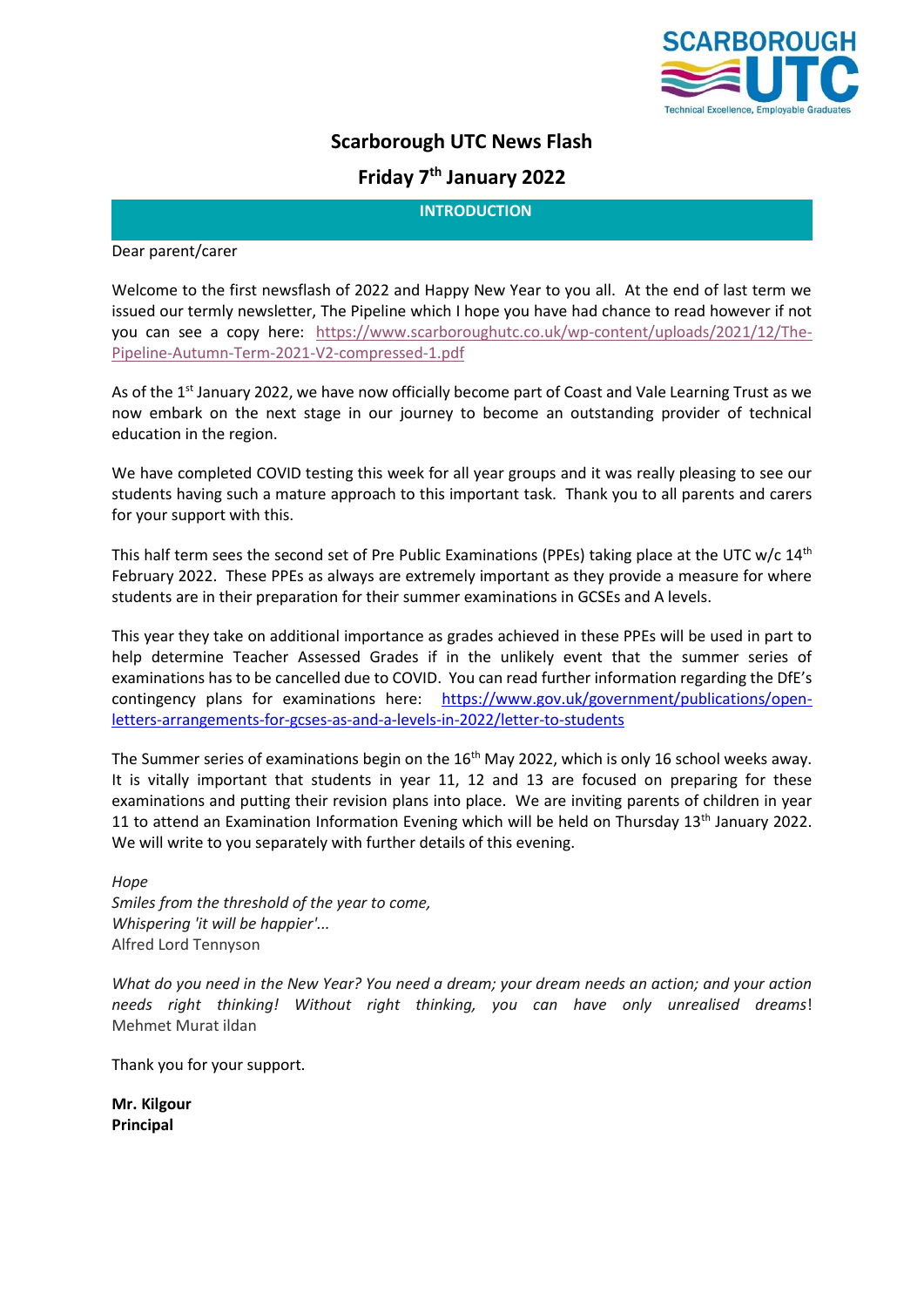

# **Scarborough UTC News Flash**

# **Friday 7th January 2022**

**INTRODUCTION**

Dear parent/carer

Welcome to the first newsflash of 2022 and Happy New Year to you all. At the end of last term we issued our termly newsletter, The Pipeline which I hope you have had chance to read however if not you can see a copy here: [https://www.scarboroughutc.co.uk/wp-content/uploads/2021/12/The-](https://www.scarboroughutc.co.uk/wp-content/uploads/2021/12/The-Pipeline-Autumn-Term-2021-V2-compressed-1.pdf)[Pipeline-Autumn-Term-2021-V2-compressed-1.pdf](https://www.scarboroughutc.co.uk/wp-content/uploads/2021/12/The-Pipeline-Autumn-Term-2021-V2-compressed-1.pdf)

As of the 1<sup>st</sup> January 2022, we have now officially become part of Coast and Vale Learning Trust as we now embark on the next stage in our journey to become an outstanding provider of technical education in the region.

We have completed COVID testing this week for all year groups and it was really pleasing to see our students having such a mature approach to this important task. Thank you to all parents and carers for your support with this.

This half term sees the second set of Pre Public Examinations (PPEs) taking place at the UTC  $w/c$  14<sup>th</sup> February 2022. These PPEs as always are extremely important as they provide a measure for where students are in their preparation for their summer examinations in GCSEs and A levels.

This year they take on additional importance as grades achieved in these PPEs will be used in part to help determine Teacher Assessed Grades if in the unlikely event that the summer series of examinations has to be cancelled due to COVID. You can read further information regarding the DfE's contingency plans for examinations here: [https://www.gov.uk/government/publications/open](https://www.gov.uk/government/publications/open-letters-arrangements-for-gcses-as-and-a-levels-in-2022/letter-to-students)[letters-arrangements-for-gcses-as-and-a-levels-in-2022/letter-to-students](https://www.gov.uk/government/publications/open-letters-arrangements-for-gcses-as-and-a-levels-in-2022/letter-to-students)

The Summer series of examinations begin on the 16<sup>th</sup> May 2022, which is only 16 school weeks away. It is vitally important that students in year 11, 12 and 13 are focused on preparing for these examinations and putting their revision plans into place. We are inviting parents of children in year 11 to attend an Examination Information Evening which will be held on Thursday 13<sup>th</sup> January 2022. We will write to you separately with further details of this evening.

*Hope Smiles from the threshold of the year to come, Whispering 'it will be happier'...* Alfred Lord Tennyson

*What do you need in the New Year? You need a dream; your dream needs an action; and your action needs right thinking! Without right thinking, you can have only unrealised dreams*! Mehmet Murat ildan

Thank you for your support.

**Mr. Kilgour Principal**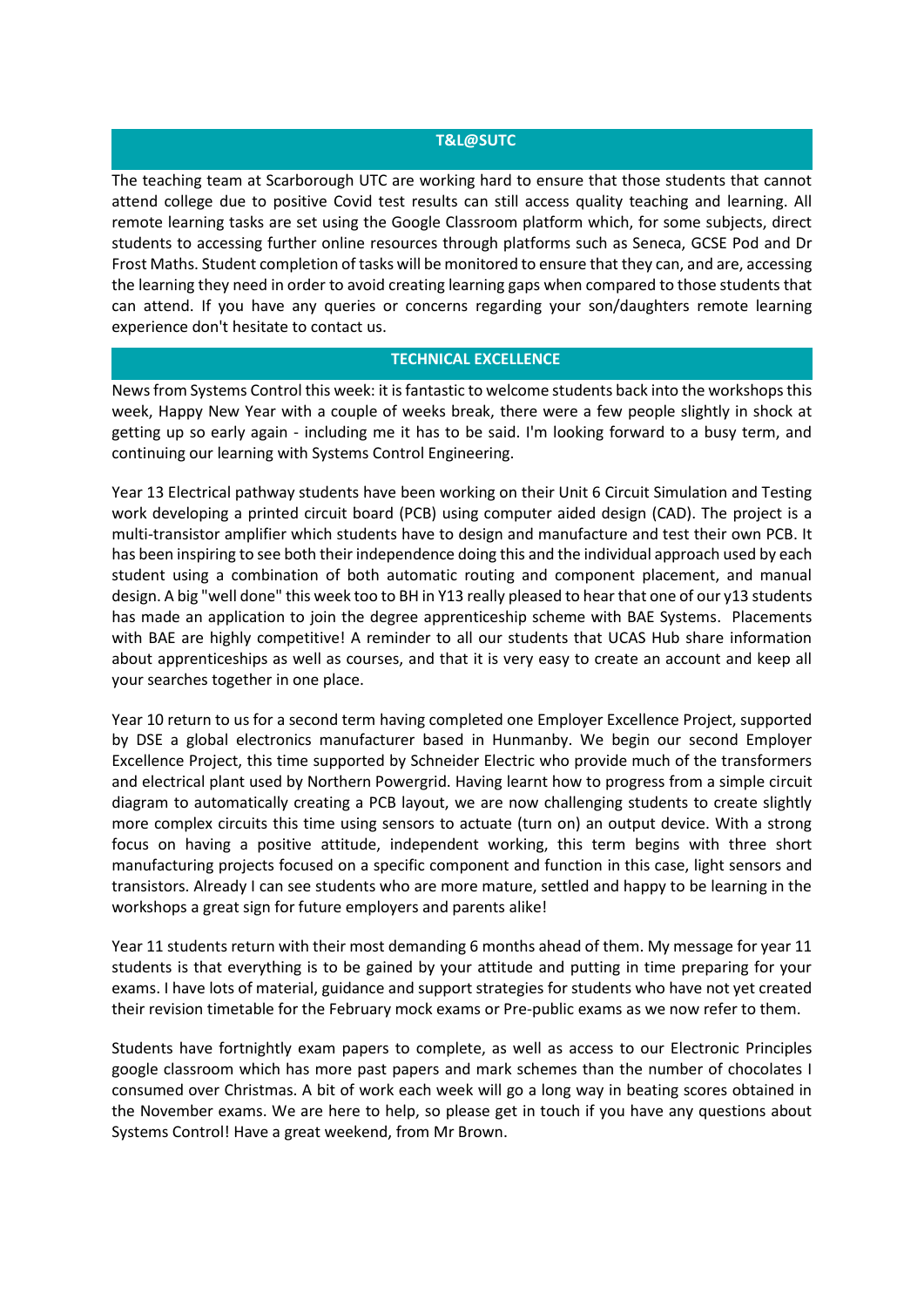#### **T&L@SUTC**

The teaching team at Scarborough UTC are working hard to ensure that those students that cannot attend college due to positive Covid test results can still access quality teaching and learning. All remote learning tasks are set using the Google Classroom platform which, for some subjects, direct students to accessing further online resources through platforms such as Seneca, GCSE Pod and Dr Frost Maths. Student completion of tasks will be monitored to ensure that they can, and are, accessing the learning they need in order to avoid creating learning gaps when compared to those students that can attend. If you have any queries or concerns regarding your son/daughters remote learning experience don't hesitate to contact us.

### **TECHNICAL EXCELLENCE**

News from Systems Control this week: it is fantastic to welcome students back into the workshops this week, Happy New Year with a couple of weeks break, there were a few people slightly in shock at getting up so early again - including me it has to be said. I'm looking forward to a busy term, and continuing our learning with Systems Control Engineering.

Year 13 Electrical pathway students have been working on their Unit 6 Circuit Simulation and Testing work developing a printed circuit board (PCB) using computer aided design (CAD). The project is a multi-transistor amplifier which students have to design and manufacture and test their own PCB. It has been inspiring to see both their independence doing this and the individual approach used by each student using a combination of both automatic routing and component placement, and manual design. A big "well done" this week too to BH in Y13 really pleased to hear that one of our y13 students has made an application to join the degree apprenticeship scheme with BAE Systems. Placements with BAE are highly competitive! A reminder to all our students that UCAS Hub share information about apprenticeships as well as courses, and that it is very easy to create an account and keep all your searches together in one place.

Year 10 return to us for a second term having completed one Employer Excellence Project, supported by DSE a global electronics manufacturer based in Hunmanby. We begin our second Employer Excellence Project, this time supported by Schneider Electric who provide much of the transformers and electrical plant used by Northern Powergrid. Having learnt how to progress from a simple circuit diagram to automatically creating a PCB layout, we are now challenging students to create slightly more complex circuits this time using sensors to actuate (turn on) an output device. With a strong focus on having a positive attitude, independent working, this term begins with three short manufacturing projects focused on a specific component and function in this case, light sensors and transistors. Already I can see students who are more mature, settled and happy to be learning in the workshops a great sign for future employers and parents alike!

Year 11 students return with their most demanding 6 months ahead of them. My message for year 11 students is that everything is to be gained by your attitude and putting in time preparing for your exams. I have lots of material, guidance and support strategies for students who have not yet created their revision timetable for the February mock exams or Pre-public exams as we now refer to them.

Students have fortnightly exam papers to complete, as well as access to our Electronic Principles google classroom which has more past papers and mark schemes than the number of chocolates I consumed over Christmas. A bit of work each week will go a long way in beating scores obtained in the November exams. We are here to help, so please get in touch if you have any questions about Systems Control! Have a great weekend, from Mr Brown.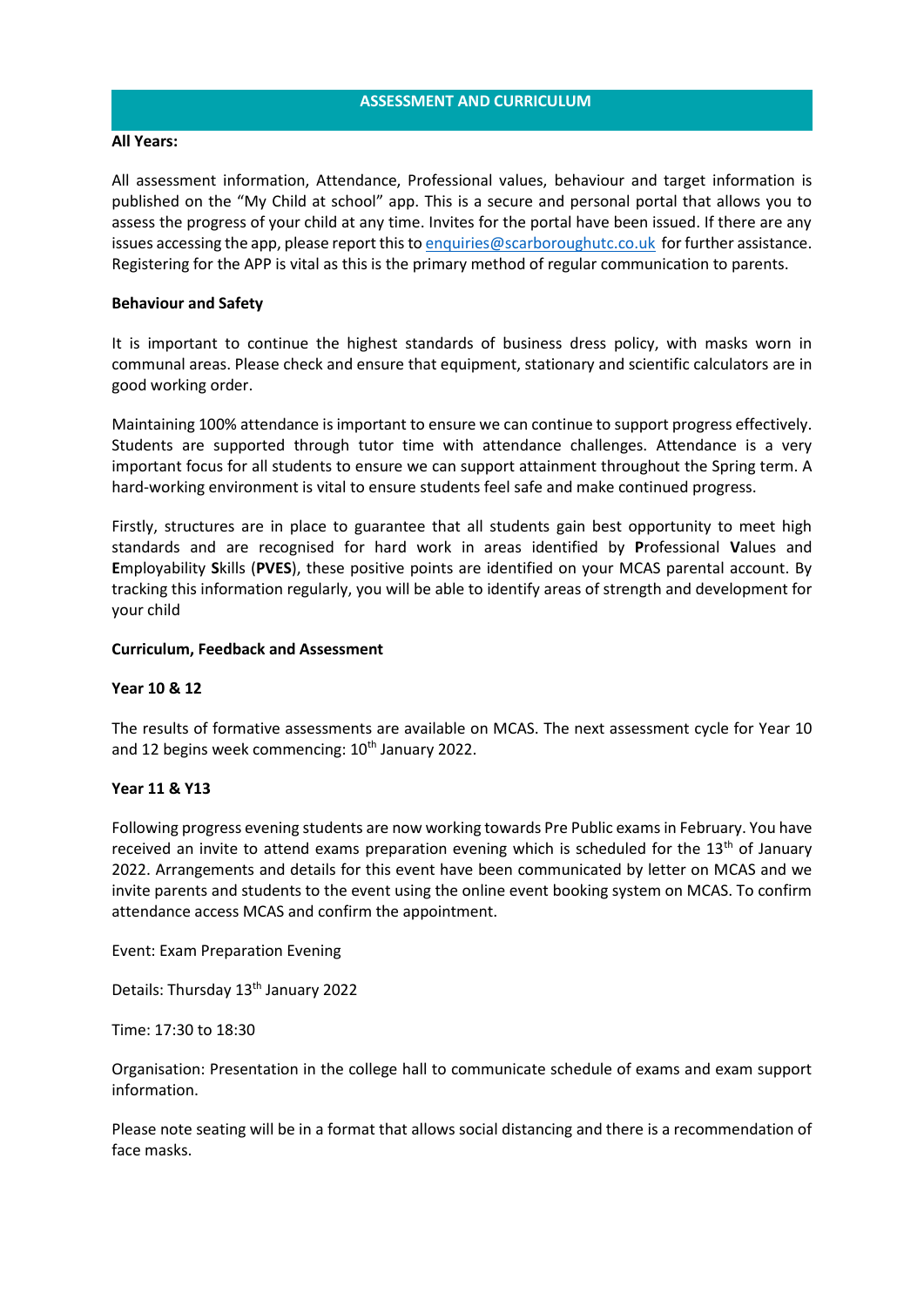### **All Years:**

All assessment information, Attendance, Professional values, behaviour and target information is published on the "My Child at school" app. This is a secure and personal portal that allows you to assess the progress of your child at any time. Invites for the portal have been issued. If there are any issues accessing the app, please report this t[o enquiries@scarboroughutc.co.uk](mailto:enquiries@scarboroughutc.co.uk) for further assistance. Registering for the APP is vital as this is the primary method of regular communication to parents.

## **Behaviour and Safety**

It is important to continue the highest standards of business dress policy, with masks worn in communal areas. Please check and ensure that equipment, stationary and scientific calculators are in good working order.

Maintaining 100% attendance is important to ensure we can continue to support progress effectively. Students are supported through tutor time with attendance challenges. Attendance is a very important focus for all students to ensure we can support attainment throughout the Spring term. A hard-working environment is vital to ensure students feel safe and make continued progress.

Firstly, structures are in place to guarantee that all students gain best opportunity to meet high standards and are recognised for hard work in areas identified by **P**rofessional **V**alues and **E**mployability **S**kills (**PVES**), these positive points are identified on your MCAS parental account. By tracking this information regularly, you will be able to identify areas of strength and development for your child

### **Curriculum, Feedback and Assessment**

#### **Year 10 & 12**

The results of formative assessments are available on MCAS. The next assessment cycle for Year 10 and 12 begins week commencing:  $10<sup>th</sup>$  January 2022.

#### **Year 11 & Y13**

Following progress evening students are now working towards Pre Public exams in February. You have received an invite to attend exams preparation evening which is scheduled for the  $13<sup>th</sup>$  of January 2022. Arrangements and details for this event have been communicated by letter on MCAS and we invite parents and students to the event using the online event booking system on MCAS. To confirm attendance access MCAS and confirm the appointment.

Event: Exam Preparation Evening

Details: Thursday 13<sup>th</sup> January 2022

Time: 17:30 to 18:30

Organisation: Presentation in the college hall to communicate schedule of exams and exam support information.

Please note seating will be in a format that allows social distancing and there is a recommendation of face masks.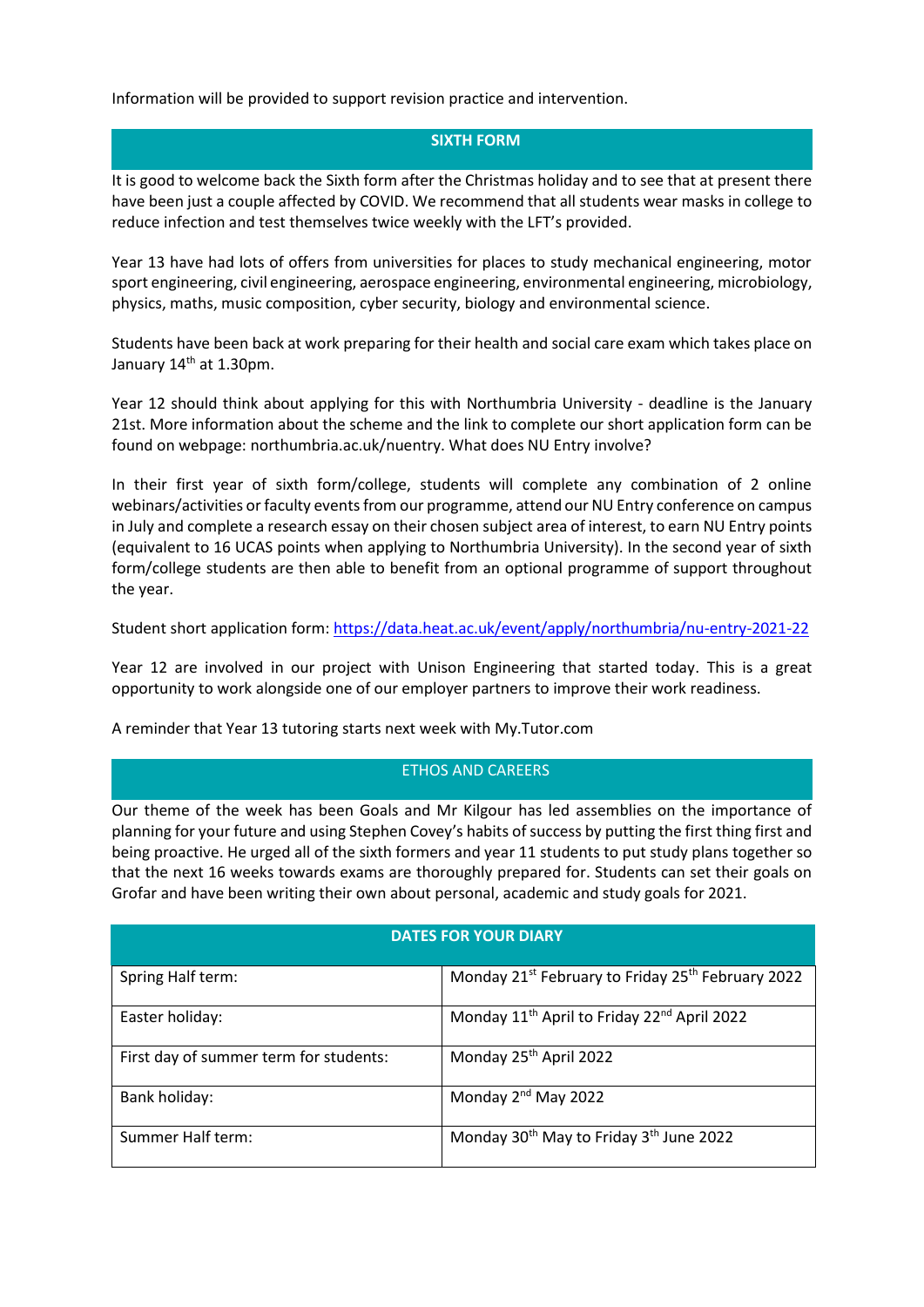Information will be provided to support revision practice and intervention.

## **SIXTH FORM**

It is good to welcome back the Sixth form after the Christmas holiday and to see that at present there have been just a couple affected by COVID. We recommend that all students wear masks in college to reduce infection and test themselves twice weekly with the LFT's provided.

Year 13 have had lots of offers from universities for places to study mechanical engineering, motor sport engineering, civil engineering, aerospace engineering, environmental engineering, microbiology, physics, maths, music composition, cyber security, biology and environmental science.

Students have been back at work preparing for their health and social care exam which takes place on January 14<sup>th</sup> at 1.30pm.

Year 12 should think about applying for this with Northumbria University - deadline is the January 21st. More information about the scheme and the link to complete our short application form can be found on webpage: northumbria.ac.uk/nuentry. What does NU Entry involve?

In their first year of sixth form/college, students will complete any combination of 2 online webinars/activities or faculty events from our programme, attend our NU Entry conference on campus in July and complete a research essay on their chosen subject area of interest, to earn NU Entry points (equivalent to 16 UCAS points when applying to Northumbria University). In the second year of sixth form/college students are then able to benefit from an optional programme of support throughout the year.

Student short application form: <https://data.heat.ac.uk/event/apply/northumbria/nu-entry-2021-22>

Year 12 are involved in our project with Unison Engineering that started today. This is a great opportunity to work alongside one of our employer partners to improve their work readiness.

A reminder that Year 13 tutoring starts next week with My.Tutor.com

## ETHOS AND CAREERS

Our theme of the week has been Goals and Mr Kilgour has led assemblies on the importance of planning for your future and using Stephen Covey's habits of success by putting the first thing first and being proactive. He urged all of the sixth formers and year 11 students to put study plans together so that the next 16 weeks towards exams are thoroughly prepared for. Students can set their goals on Grofar and have been writing their own about personal, academic and study goals for 2021.

## **DATES FOR YOUR DIARY**

| Spring Half term:                      | Monday 21 <sup>st</sup> February to Friday 25 <sup>th</sup> February 2022 |
|----------------------------------------|---------------------------------------------------------------------------|
| Easter holiday:                        | Monday 11 <sup>th</sup> April to Friday 22 <sup>nd</sup> April 2022       |
| First day of summer term for students: | Monday 25 <sup>th</sup> April 2022                                        |
| Bank holiday:                          | Monday 2 <sup>nd</sup> May 2022                                           |
| Summer Half term:                      | Monday 30 <sup>th</sup> May to Friday 3 <sup>th</sup> June 2022           |